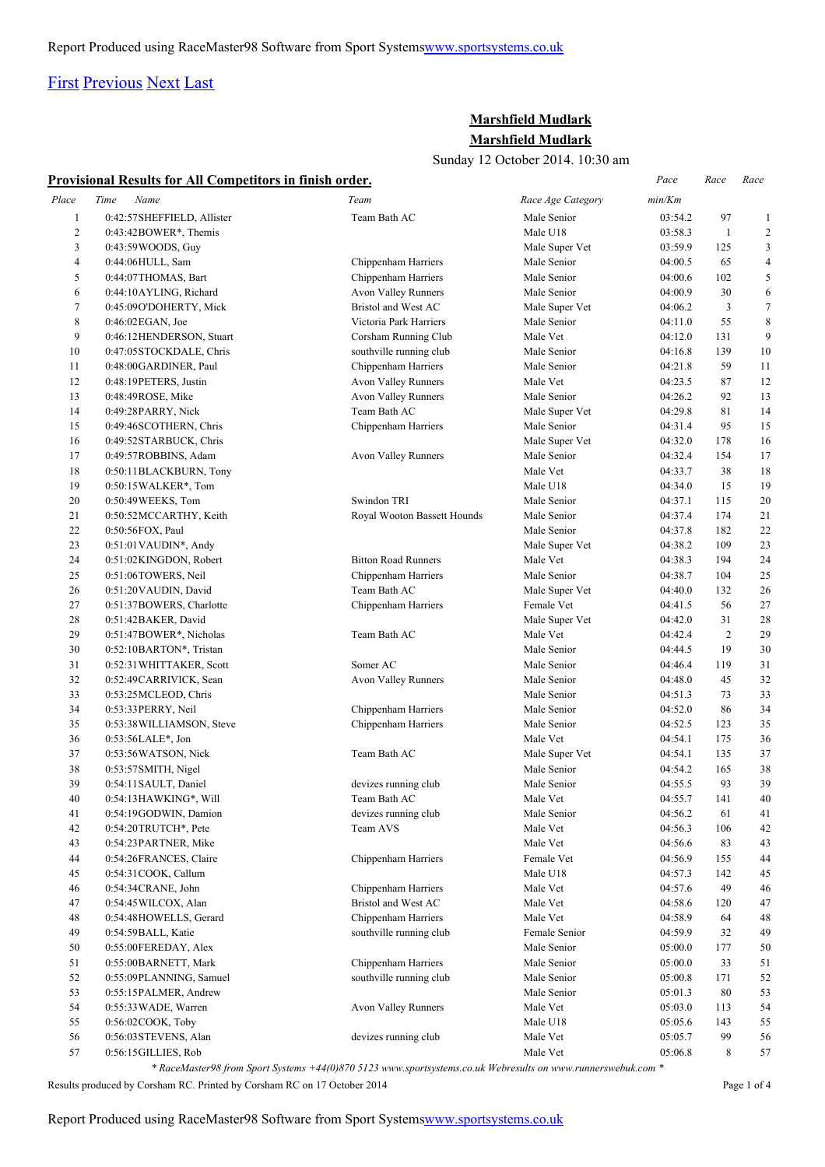## [First](http://www.corshamrunningclub.co.uk/Mudlark/Results/2014/Marshfield Mudlark 2014 v2.html#) [Previous](http://www.corshamrunningclub.co.uk/Mudlark/Results/2014/Marshfield Mudlark 2014 v2.html#) [Next](http://www.corshamrunningclub.co.uk/Mudlark/Results/2014/Marshfield Mudlark 2014 v2Page2.html) [Last](http://www.corshamrunningclub.co.uk/Mudlark/Results/2014/Marshfield Mudlark 2014 v2Page4.html)

### **Marshfield Mudlark Marshfield Mudlark**

Sunday 12 October 2014. 10:30 am

|  | <b>Provisional Results for All Competitors in finish order.</b> | Pace | Race | Race |
|--|-----------------------------------------------------------------|------|------|------|
|--|-----------------------------------------------------------------|------|------|------|

| Place<br>$\mathbf{1}$<br>$\sqrt{2}$<br>3<br>4<br>5<br>6<br>7<br>8<br>9<br>10<br>11<br>12<br>13<br>14<br>15<br>16<br>17<br>18 | Time<br>Name<br>0:42:57SHEFFIELD, Allister<br>$0:43:42\text{BOWER}^*$ , Themis<br>0:43:59 WOODS, Guy<br>0:44:06HULL, Sam<br>0:44:07THOMAS, Bart<br>0:44:10AYLING, Richard<br>0:45:09O'DOHERTY, Mick<br>$0:46:02EGAN$ , Joe<br>0:46:12HENDERSON, Stuart<br>0:47:05STOCKDALE, Chris<br>0:48:00GARDINER, Paul<br>0:48:19PETERS, Justin<br>0:48:49ROSE, Mike<br>0:49:28PARRY, Nick<br>0:49:46SCOTHERN, Chris<br>0:49:52STARBUCK, Chris | Team<br>Team Bath AC<br>Chippenham Harriers<br>Chippenham Harriers<br>Avon Valley Runners<br>Bristol and West AC<br>Victoria Park Harriers<br>Corsham Running Club<br>southville running club<br>Chippenham Harriers<br>Avon Valley Runners<br>Avon Valley Runners<br>Team Bath AC | Race Age Category<br>Male Senior<br>Male U18<br>Male Super Vet<br>Male Senior<br>Male Senior<br>Male Senior<br>Male Super Vet<br>Male Senior<br>Male Vet<br>Male Senior<br>Male Senior<br>Male Vet<br>Male Senior | min/Km<br>03:54.2<br>03:58.3<br>03:59.9<br>04:00.5<br>04:00.6<br>04:00.9<br>04:06.2<br>04:11.0<br>04:12.0<br>04:16.8<br>04:21.8<br>04:23.5 | 97<br>$\mathbf{1}$<br>125<br>65<br>102<br>30<br>$\mathfrak{Z}$<br>55<br>131<br>139<br>59 | 1<br>$\overline{c}$<br>3<br>$\overline{\mathcal{A}}$<br>5<br>6<br>$\tau$<br>8<br>9<br>10<br>11 |
|------------------------------------------------------------------------------------------------------------------------------|------------------------------------------------------------------------------------------------------------------------------------------------------------------------------------------------------------------------------------------------------------------------------------------------------------------------------------------------------------------------------------------------------------------------------------|------------------------------------------------------------------------------------------------------------------------------------------------------------------------------------------------------------------------------------------------------------------------------------|-------------------------------------------------------------------------------------------------------------------------------------------------------------------------------------------------------------------|--------------------------------------------------------------------------------------------------------------------------------------------|------------------------------------------------------------------------------------------|------------------------------------------------------------------------------------------------|
|                                                                                                                              |                                                                                                                                                                                                                                                                                                                                                                                                                                    |                                                                                                                                                                                                                                                                                    |                                                                                                                                                                                                                   |                                                                                                                                            |                                                                                          |                                                                                                |
|                                                                                                                              |                                                                                                                                                                                                                                                                                                                                                                                                                                    |                                                                                                                                                                                                                                                                                    |                                                                                                                                                                                                                   |                                                                                                                                            |                                                                                          |                                                                                                |
|                                                                                                                              |                                                                                                                                                                                                                                                                                                                                                                                                                                    |                                                                                                                                                                                                                                                                                    |                                                                                                                                                                                                                   |                                                                                                                                            |                                                                                          |                                                                                                |
|                                                                                                                              |                                                                                                                                                                                                                                                                                                                                                                                                                                    |                                                                                                                                                                                                                                                                                    |                                                                                                                                                                                                                   |                                                                                                                                            |                                                                                          |                                                                                                |
|                                                                                                                              |                                                                                                                                                                                                                                                                                                                                                                                                                                    |                                                                                                                                                                                                                                                                                    |                                                                                                                                                                                                                   |                                                                                                                                            |                                                                                          |                                                                                                |
|                                                                                                                              |                                                                                                                                                                                                                                                                                                                                                                                                                                    |                                                                                                                                                                                                                                                                                    |                                                                                                                                                                                                                   |                                                                                                                                            |                                                                                          |                                                                                                |
|                                                                                                                              |                                                                                                                                                                                                                                                                                                                                                                                                                                    |                                                                                                                                                                                                                                                                                    |                                                                                                                                                                                                                   |                                                                                                                                            |                                                                                          |                                                                                                |
|                                                                                                                              |                                                                                                                                                                                                                                                                                                                                                                                                                                    |                                                                                                                                                                                                                                                                                    |                                                                                                                                                                                                                   |                                                                                                                                            |                                                                                          |                                                                                                |
|                                                                                                                              |                                                                                                                                                                                                                                                                                                                                                                                                                                    |                                                                                                                                                                                                                                                                                    |                                                                                                                                                                                                                   |                                                                                                                                            |                                                                                          |                                                                                                |
|                                                                                                                              |                                                                                                                                                                                                                                                                                                                                                                                                                                    |                                                                                                                                                                                                                                                                                    |                                                                                                                                                                                                                   |                                                                                                                                            |                                                                                          |                                                                                                |
|                                                                                                                              |                                                                                                                                                                                                                                                                                                                                                                                                                                    |                                                                                                                                                                                                                                                                                    |                                                                                                                                                                                                                   |                                                                                                                                            |                                                                                          |                                                                                                |
|                                                                                                                              |                                                                                                                                                                                                                                                                                                                                                                                                                                    |                                                                                                                                                                                                                                                                                    |                                                                                                                                                                                                                   |                                                                                                                                            |                                                                                          |                                                                                                |
|                                                                                                                              |                                                                                                                                                                                                                                                                                                                                                                                                                                    |                                                                                                                                                                                                                                                                                    |                                                                                                                                                                                                                   |                                                                                                                                            | 87                                                                                       | 12                                                                                             |
|                                                                                                                              |                                                                                                                                                                                                                                                                                                                                                                                                                                    |                                                                                                                                                                                                                                                                                    |                                                                                                                                                                                                                   | 04:26.2                                                                                                                                    | 92                                                                                       | 13                                                                                             |
|                                                                                                                              |                                                                                                                                                                                                                                                                                                                                                                                                                                    |                                                                                                                                                                                                                                                                                    | Male Super Vet                                                                                                                                                                                                    | 04:29.8                                                                                                                                    | 81                                                                                       | 14                                                                                             |
|                                                                                                                              |                                                                                                                                                                                                                                                                                                                                                                                                                                    | Chippenham Harriers                                                                                                                                                                                                                                                                | Male Senior                                                                                                                                                                                                       | 04:31.4                                                                                                                                    | 95                                                                                       | 15                                                                                             |
|                                                                                                                              |                                                                                                                                                                                                                                                                                                                                                                                                                                    |                                                                                                                                                                                                                                                                                    | Male Super Vet                                                                                                                                                                                                    | 04:32.0                                                                                                                                    | 178                                                                                      | 16                                                                                             |
|                                                                                                                              | 0:49:57ROBBINS, Adam                                                                                                                                                                                                                                                                                                                                                                                                               | Avon Valley Runners                                                                                                                                                                                                                                                                | Male Senior                                                                                                                                                                                                       | 04:32.4                                                                                                                                    | 154                                                                                      | 17                                                                                             |
|                                                                                                                              | 0:50:11BLACKBURN, Tony                                                                                                                                                                                                                                                                                                                                                                                                             |                                                                                                                                                                                                                                                                                    | Male Vet                                                                                                                                                                                                          | 04:33.7                                                                                                                                    | 38                                                                                       | 18                                                                                             |
| 19                                                                                                                           | 0:50:15 WALKER*, Tom                                                                                                                                                                                                                                                                                                                                                                                                               |                                                                                                                                                                                                                                                                                    | Male U18                                                                                                                                                                                                          | 04:34.0                                                                                                                                    | 15                                                                                       | 19                                                                                             |
| 20                                                                                                                           | 0:50:49WEEKS, Tom                                                                                                                                                                                                                                                                                                                                                                                                                  | Swindon TRI                                                                                                                                                                                                                                                                        | Male Senior                                                                                                                                                                                                       | 04:37.1                                                                                                                                    | 115                                                                                      | 20                                                                                             |
| 21                                                                                                                           | 0:50:52MCCARTHY, Keith                                                                                                                                                                                                                                                                                                                                                                                                             | Royal Wooton Bassett Hounds                                                                                                                                                                                                                                                        | Male Senior                                                                                                                                                                                                       | 04:37.4                                                                                                                                    | 174                                                                                      | 21                                                                                             |
| 22                                                                                                                           | 0:50:56FOX, Paul                                                                                                                                                                                                                                                                                                                                                                                                                   |                                                                                                                                                                                                                                                                                    | Male Senior                                                                                                                                                                                                       | 04:37.8                                                                                                                                    | 182                                                                                      | 22                                                                                             |
| 23                                                                                                                           | $0:51:01$ VAUDIN*, Andy                                                                                                                                                                                                                                                                                                                                                                                                            |                                                                                                                                                                                                                                                                                    | Male Super Vet                                                                                                                                                                                                    | 04:38.2                                                                                                                                    | 109                                                                                      | 23                                                                                             |
| 24                                                                                                                           | 0:51:02KINGDON, Robert                                                                                                                                                                                                                                                                                                                                                                                                             | <b>Bitton Road Runners</b>                                                                                                                                                                                                                                                         | Male Vet                                                                                                                                                                                                          | 04:38.3                                                                                                                                    | 194                                                                                      | 24                                                                                             |
| 25                                                                                                                           | 0:51:06TOWERS, Neil                                                                                                                                                                                                                                                                                                                                                                                                                | Chippenham Harriers                                                                                                                                                                                                                                                                | Male Senior                                                                                                                                                                                                       | 04:38.7                                                                                                                                    | 104                                                                                      | 25                                                                                             |
| 26                                                                                                                           | 0:51:20VAUDIN, David                                                                                                                                                                                                                                                                                                                                                                                                               | Team Bath AC                                                                                                                                                                                                                                                                       | Male Super Vet                                                                                                                                                                                                    | 04:40.0                                                                                                                                    | 132                                                                                      | 26                                                                                             |
| 27                                                                                                                           | 0:51:37BOWERS, Charlotte                                                                                                                                                                                                                                                                                                                                                                                                           | Chippenham Harriers                                                                                                                                                                                                                                                                | Female Vet                                                                                                                                                                                                        | 04:41.5                                                                                                                                    | 56                                                                                       | 27                                                                                             |
| 28                                                                                                                           | 0:51:42BAKER, David                                                                                                                                                                                                                                                                                                                                                                                                                |                                                                                                                                                                                                                                                                                    | Male Super Vet                                                                                                                                                                                                    | 04:42.0                                                                                                                                    | 31                                                                                       | 28                                                                                             |
| 29                                                                                                                           |                                                                                                                                                                                                                                                                                                                                                                                                                                    | Team Bath AC                                                                                                                                                                                                                                                                       | Male Vet                                                                                                                                                                                                          | 04:42.4                                                                                                                                    | $\overline{2}$                                                                           | 29                                                                                             |
| 30                                                                                                                           | 0:51:47BOWER*, Nicholas                                                                                                                                                                                                                                                                                                                                                                                                            |                                                                                                                                                                                                                                                                                    | Male Senior                                                                                                                                                                                                       |                                                                                                                                            | 19                                                                                       | 30                                                                                             |
|                                                                                                                              | 0:52:10BARTON*, Tristan                                                                                                                                                                                                                                                                                                                                                                                                            | Somer AC                                                                                                                                                                                                                                                                           |                                                                                                                                                                                                                   | 04:44.5                                                                                                                                    |                                                                                          |                                                                                                |
| 31<br>32                                                                                                                     | 0:52:31 WHITTAKER, Scott                                                                                                                                                                                                                                                                                                                                                                                                           |                                                                                                                                                                                                                                                                                    | Male Senior                                                                                                                                                                                                       | 04:46.4                                                                                                                                    | 119                                                                                      | 31                                                                                             |
|                                                                                                                              | 0:52:49CARRIVICK, Sean                                                                                                                                                                                                                                                                                                                                                                                                             | Avon Valley Runners                                                                                                                                                                                                                                                                | Male Senior                                                                                                                                                                                                       | 04:48.0                                                                                                                                    | 45                                                                                       | 32                                                                                             |
| 33                                                                                                                           | 0:53:25 MCLEOD, Chris                                                                                                                                                                                                                                                                                                                                                                                                              |                                                                                                                                                                                                                                                                                    | Male Senior                                                                                                                                                                                                       | 04:51.3                                                                                                                                    | 73                                                                                       | 33                                                                                             |
| 34                                                                                                                           | 0:53:33PERRY, Neil                                                                                                                                                                                                                                                                                                                                                                                                                 | Chippenham Harriers                                                                                                                                                                                                                                                                | Male Senior                                                                                                                                                                                                       | 04:52.0                                                                                                                                    | 86                                                                                       | 34                                                                                             |
| 35                                                                                                                           | 0:53:38 WILLIAMSON, Steve                                                                                                                                                                                                                                                                                                                                                                                                          | Chippenham Harriers                                                                                                                                                                                                                                                                | Male Senior                                                                                                                                                                                                       | 04:52.5                                                                                                                                    | 123                                                                                      | 35                                                                                             |
| 36                                                                                                                           | 0:53:56LALE*, Jon                                                                                                                                                                                                                                                                                                                                                                                                                  |                                                                                                                                                                                                                                                                                    | Male Vet                                                                                                                                                                                                          | 04:54.1                                                                                                                                    | 175                                                                                      | 36                                                                                             |
| 37                                                                                                                           | 0:53:56WATSON, Nick                                                                                                                                                                                                                                                                                                                                                                                                                | Team Bath AC                                                                                                                                                                                                                                                                       | Male Super Vet                                                                                                                                                                                                    | 04:54.1                                                                                                                                    | 135                                                                                      | 37                                                                                             |
| 38                                                                                                                           | 0:53:57SMITH, Nigel                                                                                                                                                                                                                                                                                                                                                                                                                |                                                                                                                                                                                                                                                                                    | Male Senior                                                                                                                                                                                                       | 04:54.2                                                                                                                                    | 165                                                                                      | 38                                                                                             |
| 39                                                                                                                           | 0:54:11SAULT, Daniel                                                                                                                                                                                                                                                                                                                                                                                                               | devizes running club                                                                                                                                                                                                                                                               | Male Senior                                                                                                                                                                                                       | 04:55.5                                                                                                                                    | 93                                                                                       | 39                                                                                             |
| 40                                                                                                                           | 0:54:13HAWKING*, Will                                                                                                                                                                                                                                                                                                                                                                                                              | Team Bath AC                                                                                                                                                                                                                                                                       | Male Vet                                                                                                                                                                                                          | 04:55.7                                                                                                                                    | 141                                                                                      | 40                                                                                             |
| 41                                                                                                                           | 0:54:19GODWIN, Damion                                                                                                                                                                                                                                                                                                                                                                                                              | devizes running club                                                                                                                                                                                                                                                               | Male Senior                                                                                                                                                                                                       | 04:56.2                                                                                                                                    | 61                                                                                       | 41                                                                                             |
| 42                                                                                                                           | 0:54:20TRUTCH*, Pete                                                                                                                                                                                                                                                                                                                                                                                                               | Team AVS                                                                                                                                                                                                                                                                           | Male Vet                                                                                                                                                                                                          | 04:56.3                                                                                                                                    | 106                                                                                      | 42                                                                                             |
| 43                                                                                                                           | 0:54:23PARTNER, Mike                                                                                                                                                                                                                                                                                                                                                                                                               |                                                                                                                                                                                                                                                                                    | Male Vet                                                                                                                                                                                                          | 04:56.6                                                                                                                                    | 83                                                                                       | 43                                                                                             |
| 44                                                                                                                           | 0:54:26FRANCES, Claire                                                                                                                                                                                                                                                                                                                                                                                                             | Chippenham Harriers                                                                                                                                                                                                                                                                | Female Vet                                                                                                                                                                                                        | 04:56.9                                                                                                                                    | 155                                                                                      | 44                                                                                             |
| 45                                                                                                                           | 0:54:31COOK, Callum                                                                                                                                                                                                                                                                                                                                                                                                                |                                                                                                                                                                                                                                                                                    | Male U18                                                                                                                                                                                                          | 04:57.3                                                                                                                                    | 142                                                                                      | 45                                                                                             |
| 46                                                                                                                           | 0:54:34CRANE, John                                                                                                                                                                                                                                                                                                                                                                                                                 | Chippenham Harriers                                                                                                                                                                                                                                                                | Male Vet                                                                                                                                                                                                          | 04:57.6                                                                                                                                    | 49                                                                                       | 46                                                                                             |
| 47                                                                                                                           | 0:54:45 WILCOX, Alan                                                                                                                                                                                                                                                                                                                                                                                                               | Bristol and West AC                                                                                                                                                                                                                                                                | Male Vet                                                                                                                                                                                                          | 04:58.6                                                                                                                                    | 120                                                                                      | 47                                                                                             |
| 48                                                                                                                           | 0:54:48HOWELLS, Gerard                                                                                                                                                                                                                                                                                                                                                                                                             | Chippenham Harriers                                                                                                                                                                                                                                                                | Male Vet                                                                                                                                                                                                          | 04:58.9                                                                                                                                    | 64                                                                                       | 48                                                                                             |
| 49                                                                                                                           | 0:54:59BALL, Katie                                                                                                                                                                                                                                                                                                                                                                                                                 | southville running club                                                                                                                                                                                                                                                            | Female Senior                                                                                                                                                                                                     | 04:59.9                                                                                                                                    | 32                                                                                       | 49                                                                                             |
| 50                                                                                                                           | 0:55:00FEREDAY, Alex                                                                                                                                                                                                                                                                                                                                                                                                               |                                                                                                                                                                                                                                                                                    | Male Senior                                                                                                                                                                                                       | 05:00.0                                                                                                                                    | 177                                                                                      | 50                                                                                             |
| 51                                                                                                                           | 0:55:00BARNETT, Mark                                                                                                                                                                                                                                                                                                                                                                                                               | Chippenham Harriers                                                                                                                                                                                                                                                                | Male Senior                                                                                                                                                                                                       | 05:00.0                                                                                                                                    | 33                                                                                       | 51                                                                                             |
| 52                                                                                                                           | 0:55:09PLANNING, Samuel                                                                                                                                                                                                                                                                                                                                                                                                            | southville running club                                                                                                                                                                                                                                                            | Male Senior                                                                                                                                                                                                       | 05:00.8                                                                                                                                    | 171                                                                                      | 52                                                                                             |
| 53                                                                                                                           | 0:55:15PALMER, Andrew                                                                                                                                                                                                                                                                                                                                                                                                              |                                                                                                                                                                                                                                                                                    | Male Senior                                                                                                                                                                                                       | 05:01.3                                                                                                                                    | 80                                                                                       | 53                                                                                             |
| 54                                                                                                                           | 0:55:33 WADE, Warren                                                                                                                                                                                                                                                                                                                                                                                                               | Avon Valley Runners                                                                                                                                                                                                                                                                | Male Vet                                                                                                                                                                                                          | 05:03.0                                                                                                                                    | 113                                                                                      | 54                                                                                             |
| 55                                                                                                                           | $0:56:02$ COOK, Toby                                                                                                                                                                                                                                                                                                                                                                                                               |                                                                                                                                                                                                                                                                                    | Male U18                                                                                                                                                                                                          | 05:05.6                                                                                                                                    | 143                                                                                      | 55                                                                                             |
| 56                                                                                                                           | 0:56:03 STEVENS, Alan                                                                                                                                                                                                                                                                                                                                                                                                              | devizes running club                                                                                                                                                                                                                                                               | Male Vet                                                                                                                                                                                                          | 05:05.7                                                                                                                                    | 99                                                                                       | 56                                                                                             |
| 57                                                                                                                           | 0:56:15GILLIES, Rob<br>* RaceMaster98 from Sport Systems +44(0)870 5123 www.sportsystems.co.uk Webresults on www.runnerswebuk.com *                                                                                                                                                                                                                                                                                                |                                                                                                                                                                                                                                                                                    | Male Vet                                                                                                                                                                                                          | 05:06.8                                                                                                                                    | 8                                                                                        | 57                                                                                             |

Results produced by Corsham RC. Printed by Corsham RC on 17 October 2014 Page 1 of 4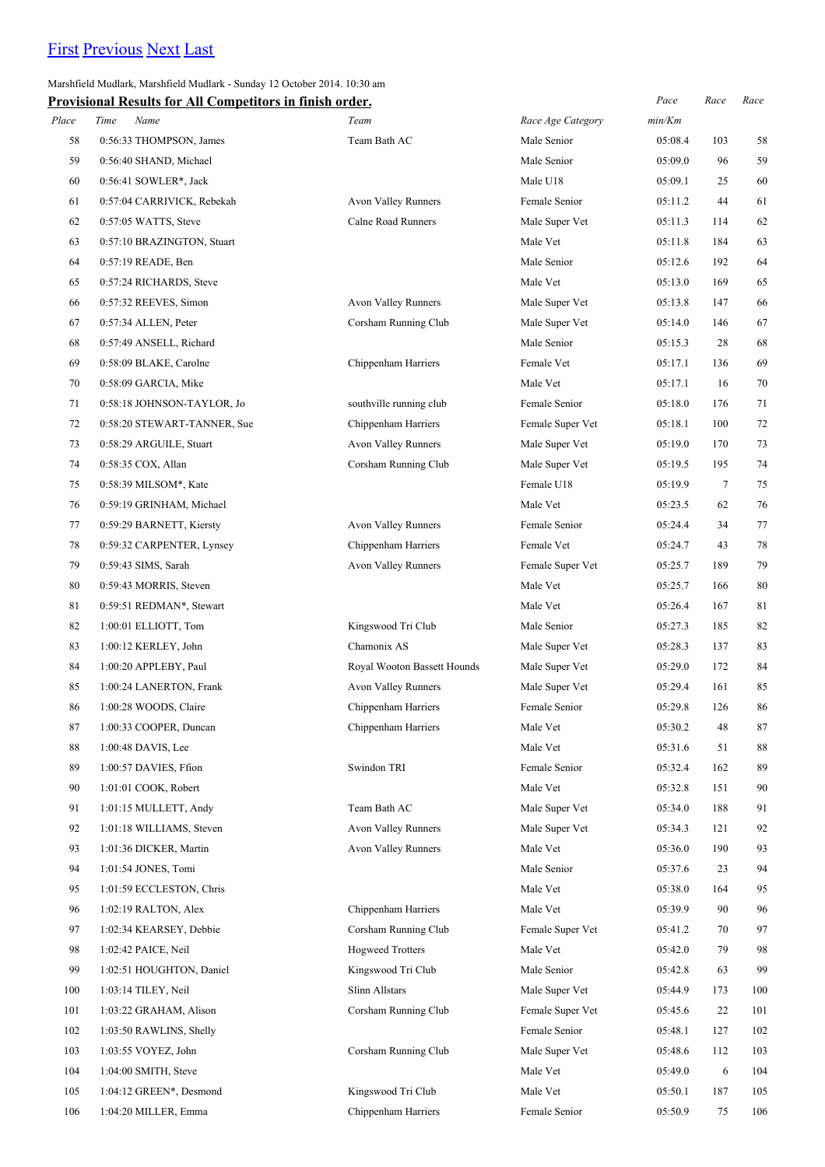# [First](http://www.corshamrunningclub.co.uk/Mudlark/Results/2014/Marshfield Mudlark 2014 v2.html) [Previous](http://www.corshamrunningclub.co.uk/Mudlark/Results/2014/Marshfield Mudlark 2014 v2.html) [Next](http://www.corshamrunningclub.co.uk/Mudlark/Results/2014/Marshfield Mudlark 2014 v2Page3.html) [Last](http://www.corshamrunningclub.co.uk/Mudlark/Results/2014/Marshfield Mudlark 2014 v2Page4.html)

Marshfield Mudlark, Marshfield Mudlark - Sunday 12 October 2014. 10:30 am

|       | <b>Provisional Results for All Competitors in finish order.</b> |                             |                   | Pace    | Race   | Race |
|-------|-----------------------------------------------------------------|-----------------------------|-------------------|---------|--------|------|
| Place | Time<br>Name                                                    | Team                        | Race Age Category | min/Km  |        |      |
| 58    | 0:56:33 THOMPSON, James                                         | Team Bath AC                | Male Senior       | 05:08.4 | 103    | 58   |
| 59    | 0:56:40 SHAND, Michael                                          |                             | Male Senior       | 05:09.0 | 96     | 59   |
| 60    | 0:56:41 SOWLER*, Jack                                           |                             | Male U18          | 05:09.1 | 25     | 60   |
| 61    | 0:57:04 CARRIVICK, Rebekah                                      | <b>Avon Valley Runners</b>  | Female Senior     | 05:11.2 | 44     | 61   |
| 62    | 0:57:05 WATTS, Steve                                            | Calne Road Runners          | Male Super Vet    | 05:11.3 | 114    | 62   |
| 63    | 0:57:10 BRAZINGTON, Stuart                                      |                             | Male Vet          | 05:11.8 | 184    | 63   |
| 64    | 0:57:19 READE, Ben                                              |                             | Male Senior       | 05:12.6 | 192    | 64   |
| 65    | 0:57:24 RICHARDS, Steve                                         |                             | Male Vet          | 05:13.0 | 169    | 65   |
| 66    | 0:57:32 REEVES, Simon                                           | Avon Valley Runners         | Male Super Vet    | 05:13.8 | 147    | 66   |
| 67    | 0:57:34 ALLEN, Peter                                            | Corsham Running Club        | Male Super Vet    | 05:14.0 | 146    | 67   |
| 68    | 0:57:49 ANSELL, Richard                                         |                             | Male Senior       | 05:15.3 | 28     | 68   |
| 69    | 0:58:09 BLAKE, Carolne                                          | Chippenham Harriers         | Female Vet        | 05:17.1 | 136    | 69   |
| 70    | 0:58:09 GARCIA, Mike                                            |                             | Male Vet          | 05:17.1 | 16     | 70   |
| 71    | 0:58:18 JOHNSON-TAYLOR, Jo                                      | southville running club     | Female Senior     | 05:18.0 | 176    | 71   |
| 72    | 0:58:20 STEWART-TANNER, Sue                                     | Chippenham Harriers         | Female Super Vet  | 05:18.1 | 100    | 72   |
| 73    | 0:58:29 ARGUILE, Stuart                                         | Avon Valley Runners         | Male Super Vet    | 05:19.0 | 170    | 73   |
| 74    | 0:58:35 COX, Allan                                              | Corsham Running Club        | Male Super Vet    | 05:19.5 | 195    | 74   |
| 75    | 0:58:39 MILSOM*, Kate                                           |                             | Female U18        | 05:19.9 | $\tau$ | 75   |
| 76    | 0:59:19 GRINHAM, Michael                                        |                             | Male Vet          | 05:23.5 | 62     | 76   |
| 77    | 0:59:29 BARNETT, Kiersty                                        | Avon Valley Runners         | Female Senior     | 05:24.4 | 34     | 77   |
| 78    | 0:59:32 CARPENTER, Lynsey                                       | Chippenham Harriers         | Female Vet        | 05:24.7 | 43     | 78   |
| 79    | 0:59:43 SIMS, Sarah                                             | Avon Valley Runners         | Female Super Vet  | 05:25.7 | 189    | 79   |
| 80    | 0:59:43 MORRIS, Steven                                          |                             | Male Vet          | 05:25.7 | 166    | 80   |
| 81    | 0:59:51 REDMAN*, Stewart                                        |                             | Male Vet          | 05:26.4 | 167    | 81   |
| 82    | 1:00:01 ELLIOTT, Tom                                            | Kingswood Tri Club          | Male Senior       | 05:27.3 | 185    | 82   |
| 83    | 1:00:12 KERLEY, John                                            | Chamonix AS                 | Male Super Vet    | 05:28.3 | 137    | 83   |
| 84    | 1:00:20 APPLEBY, Paul                                           | Royal Wooton Bassett Hounds | Male Super Vet    | 05:29.0 | 172    | 84   |
| 85    | 1:00:24 LANERTON, Frank                                         | Avon Valley Runners         | Male Super Vet    | 05:29.4 | 161    | 85   |
| 86    | 1:00:28 WOODS, Claire                                           | Chippenham Harriers         | Female Senior     | 05:29.8 | 126    | 86   |
| 87    | 1:00:33 COOPER, Duncan                                          | Chippenham Harriers         | Male Vet          | 05:30.2 | 48     | 87   |
| 88    | 1:00:48 DAVIS, Lee                                              |                             | Male Vet          | 05:31.6 | 51     | 88   |
| 89    | 1:00:57 DAVIES, Ffion                                           | Swindon TRI                 | Female Senior     | 05:32.4 | 162    | 89   |
| 90    | 1:01:01 COOK, Robert                                            |                             | Male Vet          | 05:32.8 | 151    | 90   |
| 91    | 1:01:15 MULLETT, Andy                                           | Team Bath AC                | Male Super Vet    | 05:34.0 | 188    | 91   |
| 92    | 1:01:18 WILLIAMS, Steven                                        | Avon Valley Runners         | Male Super Vet    | 05:34.3 | 121    | 92   |
| 93    | 1:01:36 DICKER, Martin                                          | Avon Valley Runners         | Male Vet          | 05:36.0 | 190    | 93   |
| 94    | 1:01:54 JONES, Tomi                                             |                             | Male Senior       | 05:37.6 | 23     | 94   |
| 95    | 1:01:59 ECCLESTON, Chris                                        |                             | Male Vet          | 05:38.0 | 164    | 95   |
| 96    | 1:02:19 RALTON, Alex                                            | Chippenham Harriers         | Male Vet          | 05:39.9 | 90     | 96   |
| 97    | 1:02:34 KEARSEY, Debbie                                         | Corsham Running Club        | Female Super Vet  | 05:41.2 | 70     | 97   |
| 98    | 1:02:42 PAICE, Neil                                             | <b>Hogweed Trotters</b>     | Male Vet          | 05:42.0 | 79     | 98   |
| 99    | 1:02:51 HOUGHTON, Daniel                                        | Kingswood Tri Club          | Male Senior       | 05:42.8 | 63     | 99   |
| 100   | 1:03:14 TILEY, Neil                                             | Slinn Allstars              | Male Super Vet    | 05:44.9 | 173    | 100  |
| 101   | 1:03:22 GRAHAM, Alison                                          | Corsham Running Club        | Female Super Vet  | 05:45.6 | 22     | 101  |
| 102   | 1:03:50 RAWLINS, Shelly                                         |                             | Female Senior     | 05:48.1 | 127    | 102  |
| 103   | 1:03:55 VOYEZ, John                                             | Corsham Running Club        | Male Super Vet    | 05:48.6 | 112    | 103  |
| 104   | 1:04:00 SMITH, Steve                                            |                             | Male Vet          | 05:49.0 | 6      | 104  |
| 105   | 1:04:12 GREEN*, Desmond                                         | Kingswood Tri Club          | Male Vet          | 05:50.1 | 187    | 105  |
| 106   | 1:04:20 MILLER, Emma                                            | Chippenham Harriers         | Female Senior     | 05:50.9 | 75     | 106  |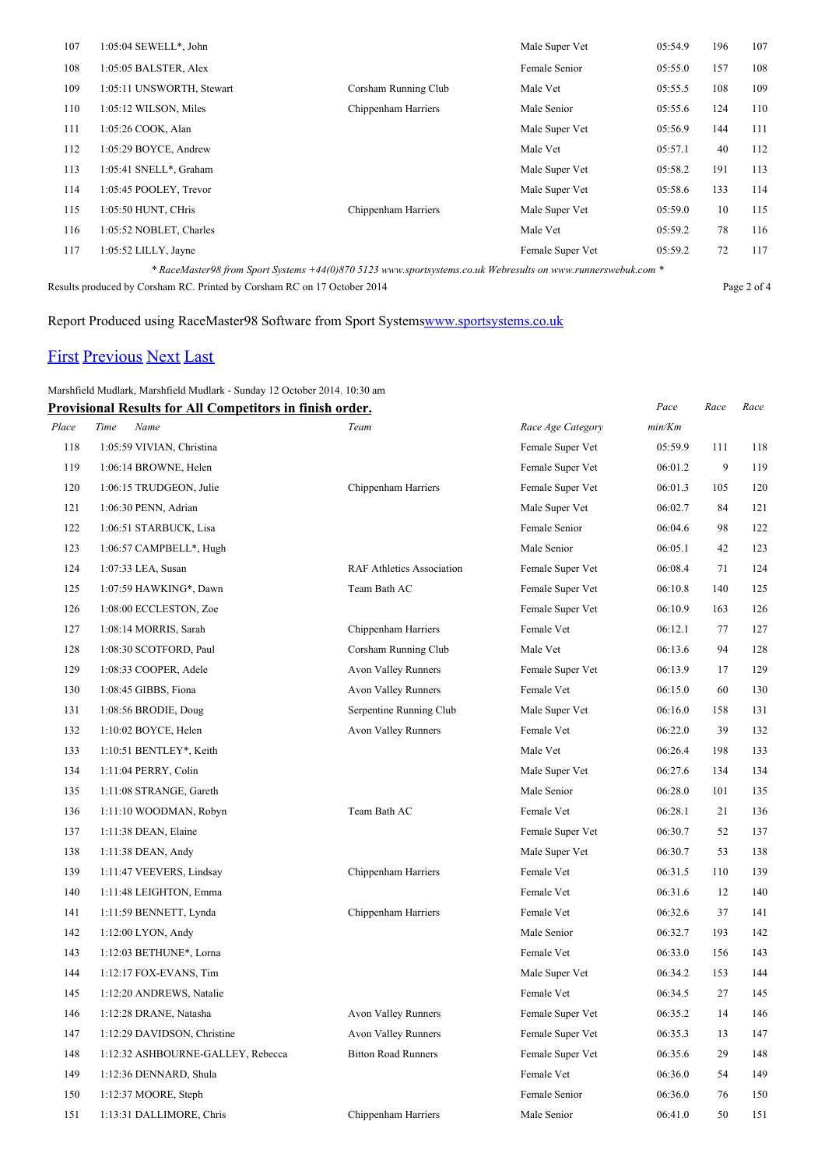| 107 | $1:05:04$ SEWELL*, John                                                                                      |                      | Male Super Vet   | 05:54.9 | 196 | 107 |  |
|-----|--------------------------------------------------------------------------------------------------------------|----------------------|------------------|---------|-----|-----|--|
| 108 | 1:05:05 BALSTER, Alex                                                                                        |                      | Female Senior    | 05:55.0 | 157 | 108 |  |
| 109 | 1:05:11 UNSWORTH, Stewart                                                                                    | Corsham Running Club | Male Vet         | 05:55.5 | 108 | 109 |  |
| 110 | 1:05:12 WILSON, Miles                                                                                        | Chippenham Harriers  | Male Senior      | 05:55.6 | 124 | 110 |  |
| 111 | 1:05:26 COOK, Alan                                                                                           |                      | Male Super Vet   | 05:56.9 | 144 | 111 |  |
| 112 | 1:05:29 BOYCE, Andrew                                                                                        |                      | Male Vet         | 05:57.1 | 40  | 112 |  |
| 113 | 1:05:41 SNELL*, Graham                                                                                       |                      | Male Super Vet   | 05:58.2 | 191 | 113 |  |
| 114 | 1:05:45 POOLEY, Trevor                                                                                       |                      | Male Super Vet   | 05:58.6 | 133 | 114 |  |
| 115 | 1:05:50 HUNT, CHris                                                                                          | Chippenham Harriers  | Male Super Vet   | 05:59.0 | 10  | 115 |  |
| 116 | 1:05:52 NOBLET, Charles                                                                                      |                      | Male Vet         | 05:59.2 | 78  | 116 |  |
| 117 | $1:05:52$ LILLY, Jayne                                                                                       |                      | Female Super Vet | 05:59.2 | 72  | 117 |  |
|     | * RaceMaster98 from Sport Systems +44(0)870 5123 www.sportsystems.co.uk Webresults on www.runnerswebuk.com * |                      |                  |         |     |     |  |

Results produced by Corsham RC. Printed by Corsham RC on 17 October 2014 Page 2 of 4

#### Report Produced using RaceMaster98 Software from Sport System[swww.sportsystems.co.uk](http://www.sportsystems.co.uk/)

## [First](http://www.corshamrunningclub.co.uk/Mudlark/Results/2014/Marshfield Mudlark 2014 v2.html) [Previous](http://www.corshamrunningclub.co.uk/Mudlark/Results/2014/Marshfield Mudlark 2014 v2Page2.html) [Next](http://www.corshamrunningclub.co.uk/Mudlark/Results/2014/Marshfield Mudlark 2014 v2Page4.html) [Last](http://www.corshamrunningclub.co.uk/Mudlark/Results/2014/Marshfield Mudlark 2014 v2Page4.html)

#### Marshfield Mudlark, Marshfield Mudlark - Sunday 12 October 2014. 10:30 am

|       | <b>Provisional Results for All Competitors in finish order.</b> |                                  |                   | Pace    | Race | Race |
|-------|-----------------------------------------------------------------|----------------------------------|-------------------|---------|------|------|
| Place | Time<br>Name                                                    | Team                             | Race Age Category | min/Km  |      |      |
| 118   | 1:05:59 VIVIAN, Christina                                       |                                  | Female Super Vet  | 05:59.9 | 111  | 118  |
| 119   | 1:06:14 BROWNE, Helen                                           |                                  | Female Super Vet  | 06:01.2 | 9    | 119  |
| 120   | 1:06:15 TRUDGEON, Julie                                         | Chippenham Harriers              | Female Super Vet  | 06:01.3 | 105  | 120  |
| 121   | 1:06:30 PENN, Adrian                                            |                                  | Male Super Vet    | 06:02.7 | 84   | 121  |
| 122   | 1:06:51 STARBUCK, Lisa                                          |                                  | Female Senior     | 06:04.6 | 98   | 122  |
| 123   | 1:06:57 CAMPBELL*, Hugh                                         |                                  | Male Senior       | 06:05.1 | 42   | 123  |
| 124   | 1:07:33 LEA, Susan                                              | <b>RAF Athletics Association</b> | Female Super Vet  | 06:08.4 | 71   | 124  |
| 125   | 1:07:59 HAWKING*, Dawn                                          | Team Bath AC                     | Female Super Vet  | 06:10.8 | 140  | 125  |
| 126   | 1:08:00 ECCLESTON, Zoe                                          |                                  | Female Super Vet  | 06:10.9 | 163  | 126  |
| 127   | 1:08:14 MORRIS, Sarah                                           | Chippenham Harriers              | Female Vet        | 06:12.1 | 77   | 127  |
| 128   | 1:08:30 SCOTFORD, Paul                                          | Corsham Running Club             | Male Vet          | 06:13.6 | 94   | 128  |
| 129   | 1:08:33 COOPER, Adele                                           | Avon Valley Runners              | Female Super Vet  | 06:13.9 | 17   | 129  |
| 130   | 1:08:45 GIBBS, Fiona                                            | Avon Valley Runners              | Female Vet        | 06:15.0 | 60   | 130  |
| 131   | 1:08:56 BRODIE, Doug                                            | Serpentine Running Club          | Male Super Vet    | 06:16.0 | 158  | 131  |
| 132   | 1:10:02 BOYCE, Helen                                            | Avon Valley Runners              | Female Vet        | 06:22.0 | 39   | 132  |
| 133   | 1:10:51 BENTLEY*, Keith                                         |                                  | Male Vet          | 06:26.4 | 198  | 133  |
| 134   | 1:11:04 PERRY, Colin                                            |                                  | Male Super Vet    | 06:27.6 | 134  | 134  |
| 135   | 1:11:08 STRANGE, Gareth                                         |                                  | Male Senior       | 06:28.0 | 101  | 135  |
| 136   | 1:11:10 WOODMAN, Robyn                                          | Team Bath AC                     | Female Vet        | 06:28.1 | 21   | 136  |
| 137   | 1:11:38 DEAN, Elaine                                            |                                  | Female Super Vet  | 06:30.7 | 52   | 137  |
| 138   | 1:11:38 DEAN, Andy                                              |                                  | Male Super Vet    | 06:30.7 | 53   | 138  |
| 139   | 1:11:47 VEEVERS, Lindsay                                        | Chippenham Harriers              | Female Vet        | 06:31.5 | 110  | 139  |
| 140   | 1:11:48 LEIGHTON, Emma                                          |                                  | Female Vet        | 06:31.6 | 12   | 140  |
| 141   | 1:11:59 BENNETT, Lynda                                          | Chippenham Harriers              | Female Vet        | 06:32.6 | 37   | 141  |
| 142   | $1:12:00$ LYON, Andy                                            |                                  | Male Senior       | 06:32.7 | 193  | 142  |
| 143   | 1:12:03 BETHUNE*, Lorna                                         |                                  | Female Vet        | 06:33.0 | 156  | 143  |
| 144   | $1:12:17$ FOX-EVANS, Tim                                        |                                  | Male Super Vet    | 06:34.2 | 153  | 144  |
| 145   | 1:12:20 ANDREWS, Natalie                                        |                                  | Female Vet        | 06:34.5 | 27   | 145  |
| 146   | 1:12:28 DRANE, Natasha                                          | <b>Avon Valley Runners</b>       | Female Super Vet  | 06:35.2 | 14   | 146  |
| 147   | 1:12:29 DAVIDSON, Christine                                     | <b>Avon Valley Runners</b>       | Female Super Vet  | 06:35.3 | 13   | 147  |
| 148   | 1:12:32 ASHBOURNE-GALLEY, Rebecca                               | <b>Bitton Road Runners</b>       | Female Super Vet  | 06:35.6 | 29   | 148  |
| 149   | 1:12:36 DENNARD, Shula                                          |                                  | Female Vet        | 06:36.0 | 54   | 149  |
| 150   | 1:12:37 MOORE, Steph                                            |                                  | Female Senior     | 06:36.0 | 76   | 150  |
| 151   | 1:13:31 DALLIMORE, Chris                                        | Chippenham Harriers              | Male Senior       | 06:41.0 | 50   | 151  |